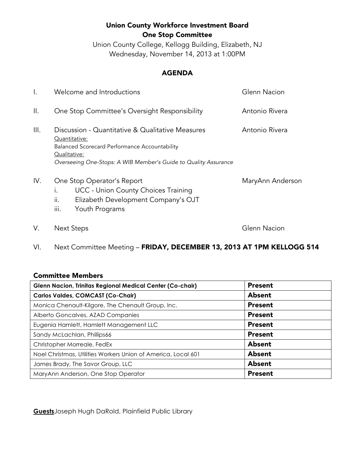# Union County Workforce Investment Board One Stop Committee

Union County College, Kellogg Building, Elizabeth, NJ Wednesday, November 14, 2013 at 1:00PM

#### AGENDA

| $\mathsf{l}$ . | Welcome and Introductions                                                                                                                                                                             | Glenn Nacion     |
|----------------|-------------------------------------------------------------------------------------------------------------------------------------------------------------------------------------------------------|------------------|
| Ш.             | One Stop Committee's Oversight Responsibility                                                                                                                                                         | Antonio Rivera   |
| III.           | Discussion - Quantitative & Qualitative Measures<br>Quantitative:<br>Balanced Scorecard Performance Accountability<br>Qualitative:<br>Overseeing One-Stops: A WIB Member's Guide to Quality Assurance | Antonio Rivera   |
| IV.            | One Stop Operator's Report<br><b>UCC - Union County Choices Training</b><br>$\mathbf{L}$<br>Elizabeth Development Company's OJT<br>II.<br>iii.<br>Youth Programs                                      | MaryAnn Anderson |
| V.             | <b>Next Steps</b>                                                                                                                                                                                     | Glenn Nacion     |

VI. Next Committee Meeting - FRIDAY, DECEMBER 13, 2013 AT 1PM KELLOGG 514

### Committee Members

| <b>Glenn Nacion, Trinitas Regional Medical Center (Co-chair)</b> | <b>Present</b> |
|------------------------------------------------------------------|----------------|
| <b>Carlos Valdes, COMCAST (Co-Chair)</b>                         | Absent         |
| Monica Chenault-Kilgore, The Chenault Group, Inc.                | <b>Present</b> |
| Alberto Goncalves, AZAD Companies                                | <b>Present</b> |
| Eugenia Hamlett, Hamlett Management LLC                          | <b>Present</b> |
| Sandy McLachlan, Phillips66                                      | <b>Present</b> |
| Christopher Morreale, FedEx                                      | <b>Absent</b>  |
| Noel Christmas, Utilities Workers Union of America, Local 601    | Absent         |
| James Brady, The Savor Group, LLC                                | Absent         |
| MaryAnn Anderson, One Stop Operator                              | <b>Present</b> |

**Guests**Joseph Hugh DaRold, Plainfield Public Library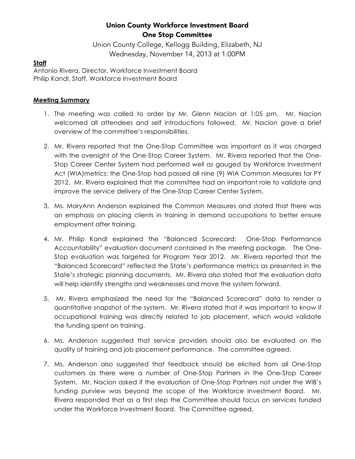# Union County Workforce Investment Board One Stop Committee

Union County College, Kellogg Building, Elizabeth, NJ Wednesday, November 14, 2013 at 1:00PM

#### **Staff**

Antonio Rivera, Director, Workforce Investment Board Philip Kandl, Staff, Workforce Investment Board

#### **Meeting Summary**

- 1. The meeting was called to order by Mr. Glenn Nacion at 1:05 pm. Mr. Nacion welcomed all attendees and self introductions followed. Mr. Nacion gave a brief overview of the committee's responsibilities.
- 2. Mr. Rivera reported that the One-Stop Committee was important as it was charged with the oversight of the One-Stop Career System. Mr. Rivera reported that the One-Stop Career Center System had performed well as gauged by Workforce Investment Act (WIA)metrics: the One-Stop had passed all nine (9) WIA Common Measures for PY 2012. Mr. Rivera explained that the committee had an important role to validate and improve the service delivery of the One-Stop Career Center System.
- 3. Ms. MaryAnn Anderson explained the Common Measures and stated that there was an emphasis on placing clients in training in demand occupations to better ensure employment after training.
- 4. Mr. Philip Kandl explained the "Balanced Scorecard: One-Stop Performance Accountability" evaluation document contained in the meeting package. The One-Stop evaluation was targeted for Program Year 2012. Mr. Rivera reported that the "Balanced Scorecard" reflected the State's performance metrics as presented in the State's strategic planning documents. Mr. Rivera also stated that the evaluation data will help identify strengths and weaknesses and move the system forward.
- 5. Mr. Rivera emphasized the need for the "Balanced Scorecard" data to render a quantitative snapshot of the system. Mr. Rivera stated that it was important to know if occupational training was directly related to job placement, which would validate the funding spent on training.
- 6. Ms. Anderson suggested that service providers should also be evaluated on the quality of training and job placement performance. The committee agreed.
- 7. Ms. Anderson also suggested that feedback should be elicited from all One-Stop customers as there were a number of One-Stop Partners in the One-Stop Career System. Mr. Nacion asked if the evaluation of One-Stop Partners not under the WIB's funding purview was beyond the scope of the Workforce Investment Board. Mr. Rivera responded that as a first step the Committee should focus on services funded under the Workforce Investment Board. The Committee agreed.